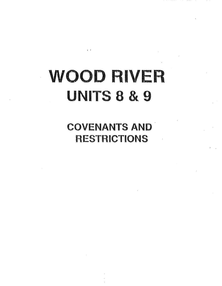# · **WOOD RIVER UNITS** 8 & 9

COVENANTS AND RESTRICTIONS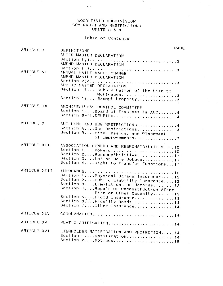# WOOD RIVER SUBDIVisION COVENANTS AND RESTRICTIONS UNITS 8 & g

 $\ddot{\phantom{a}}$ 

 $\Delta \sim 10$ 

# Table of contents

| ARTICLE 1    | DEFINITIONS                                                                                                                                                                                | <b>PAGE</b> |
|--------------|--------------------------------------------------------------------------------------------------------------------------------------------------------------------------------------------|-------------|
|              | ALTER MASTER DECLARATION                                                                                                                                                                   |             |
|              | AMEND MASTER DECLARATION                                                                                                                                                                   |             |
| ARTICLE VI   | ANNUAL MAINTENANCE CHARGE<br>AMEND MASTER DECLARATION<br>ADD TO MASTER DECLARATION<br>Section 11Subordination of the Lien to                                                               |             |
|              | Mortgages3<br>Section 12Exempt Property3                                                                                                                                                   |             |
| ARTICLE IX   | ARCHITECTURAL CONTROL COMMITTEE<br>Section 1Board of Trustees is ACC4<br>Section 6-11.DELETED4                                                                                             |             |
| ARTICLE X    | BUILDING AND USE RESTRICTIONS4<br>Section AUse Restrictions4<br>Section BSize, Design, and Placement<br>of Improvements7                                                                   |             |
| ARTICLE XII  | ASSOCIATION POWERS AND RESPONSIBILITIES10<br>Section 2Responsibilities11<br>Section 3Lot or Home Upkeep11<br>Section 4Right to Transfer Functions11                                        |             |
| ARTICLE XIII | Section 1Physical Damage Insurance12<br>Section 2Public Liability Insurance12<br>Section 3Limitations on Hazards13<br>Section 4 Repair or Reconstruction After<br>Fire or Other Casualty13 |             |
|              | Section 5Flood Insurance13<br>Section 6Fidelity Bonds14<br>Section 7Other Insurance14                                                                                                      |             |
| ARTICLE XIV  | CONDEMNATION14                                                                                                                                                                             |             |
| ARTICLE XV   | PLAT CLARIFICATION14                                                                                                                                                                       |             |
| ARTICLE XVI  | LIENHOLDER RATIFICATION AND PROTECTION14<br>Section 1Ratification14                                                                                                                        |             |

 $\ddotsc$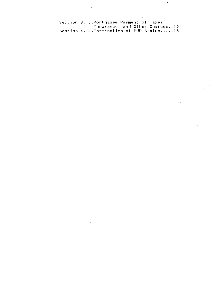section 3 .... Mortgagee Payment of Taxes, Insurance, and other Charges .. 15 Section 4 .... Termination of PUD Status ..... 15

 $\ddot{\phantom{a}}$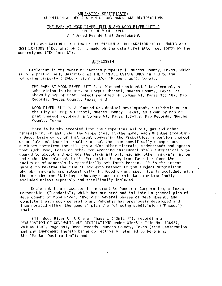# ANNEXATION CERTIFICATE: SUPPLEMENTAL DECLARATION OF COVENANTS AND RESTRICTIONS

# THE PARK AT WOOD RIVER UNIT 8 AND WOOD RIVER UNIT 9 UNITS OF WOOD RIVER A Planned Residential Development

THIS ANNEXATION CERTIFICATE: SUPPLEMENTAL DECLARATION OF COVENANTS AND RESTRICTIONS ("Declaration"), is made on the date hereinafter set forth by the undersigned ("Declarant").

# WITNESSETH:

Declarant is the owner of certain property in Nueces County, Texas, which is more particularly described as THE SURFACE ESTATE ONLY in and to the following property ("Subdivision" and/or "Properties"), to-wit:

THE PARK AT WOOD RIVER UNIT 8, a Planned Residential Development, a Subdivision in the City of Corpus Christi, Nueces County, Texas, as shown by map or plat thereof recorded in Volume 51, Pages 166-167, Map Records, Nueces County, Texas; and

WOOD RIVER UNIT 9, A Planned Residential Development, a Subdivision in the City of Corpus Christi, Nueces County. Texas, as shown by map or plat thereof recorded in Volume 51, Pages 168-169, Map Records, Nueces County, Texas.

There is hereby excepted from the Properties all oil, gas and other minerals in, on and under the Properties; furthermore, each Grantee accepting a Deed, Lease or other instrument conveying the Properties, a portion thereof, or an interest therein, whether or not the same specifically excepts and excludes therefrom the oil, gas and/or other minerals, understands and agrees that such Deed, Lease or other conveyancing instrument shall automatically be deemed to except and exclude therefrom all oil, gas and other minerals in, on and under the interest in the Properties being transferred, unless the intent<br>inclusion of minerals in specifically set forth herein. It is the intent inclusion of minerals in specifically set forth herein. hereof to reverse the rule of law with respect to the subject Subdivision whereby minerals are automatically included unless specifically excluded, with the intended result being to hereby cause minerals to be automatically excluded unless expressly and specifically included.

Declarant is a successor in interest to Pendaris Corporation, a Texas Corporation C'Pendaris"), which has prepared and initiated a general plan of development of Wood River, involving several phases of development, and consistent with such general plan, Pendaris has previously developed and incorporated within the general plan the following subdivision ("Phases"), towit:

(1) Wood River Unit One of Phase I ("Unit 1"), recording a DECLARATION OF COVENANTS AND RESTRICTIONS under Clerk's File No. 136957. Volume 1697, Page 881, Deed Records, Nueces County. Texas (said Declaration and any amendment thereto being collectively referred to herein as the "Master Declaration"); and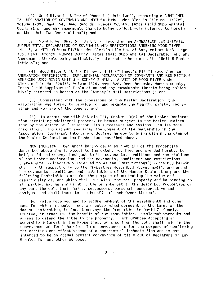(2) Wood River Unit Two of Phase I ("Unit Two"), recording a SUPPLEHEN-TAL DECLARATION OF COVENANTS AND RESTRICTIONS under Clerk's File no. 178725, Volume 1738, Page 754, Deed Records, Nueces County, Texas (said Supplemental Declaration and any amendments thereto being collectively referred to herein as the "Unit Two Restrictions"); and

(3) Wood River Unit 5 ("Unit 5"), recording an ANNEXATION CERTIFICATE: SUPPLEMENTAL DECLARATION OF COVENANTS AND RESTRICTIONS ANNEXING WOOD RIVER UNIT 5, A UNIT OR WOOD RIVER under Clerk's File No. 319589, Volume 1868, Page 735, Deed Records, Nueces cuunty, Texas (said Supplemental Declaration and any Amendments thereto being collectively referred to herein as the "Unit 5 Restrictions"); and

(4) Wood River Unit 3 - Kinney's Mill ("Kinney's Mill") recording an ANNEXATION CERTIFICATE: SUPPLEMENTAL DECLARATION OF COVENANTS AND RESTRICTION ANNEXING WOOD RIVER UNIT 3 - KINNEY'S MILL, A UNIT OF WOOD RIVER· under Clerk's File No. 328473, Volume 1876, page 828, Deed Records, Nueces County, Texas (said Supplemental Declaration and any amendments thereto being collectively referred to herein as the "Kinney's Mill Restrictions"); and

(5) Consistent with the provisions of the Master Declaration, the Association was formed to provide for and promote the health, safety, recreation and welfare of the Owners; and

(6) In accordance with Article III, Section 3(a) of the Master Declaration permitting additional property to become subject to the Master Declaration by the action of "Declarant, its successors and assigns ... in its sole discretion," and without requiring the consent of the membership in the Association, Declarant intends and desires hereby to bring within the plan of the Master Declaration the Properties described above.

NOW THEREFORE, Declarant hereby declares that all of the Properties described above shall, except to the extent modified and amended hereby, be held, sold and conveyed subject to the covenants, conditions and restrictions of the Master Declaration; and the covenants, conditions and restrictions (hereinafter collectively referred to as the "Restrictions") contairsd herein shall, with respect only to the Properties described above, modify and amend the covenants, conditions and restrictions of the Master Declaration; and the following Restrictions are for the purpose of protecting the value and desirability of, and which shall run with, the real property and be binding on all parties having any right, title or interest in the described Properties or any part thereof, their heirs, successors, personal representative and assigns, and shall inure to the benefit of each Owner thereof.

For value received and to secure payment of the assessments and other sums for which inchoate liens are established pursuant to the terms of the Master Declaration, Declarant conveys the Properties to David Z. Conoly, Trustee, in trust for the benefit of the Association. Declarant warrants and<br>agrees to defend the title to the property. Each Grantee accepting an agrees to defend the title to the property. ownership interest in the properties, or a portion thereof, shall join in the conveyance set forth herein. This conveyance is for the purpose of confirming the creation and effectiveness of a contractual inchoate lien and is not intended to be an actual present conveyance of title out of Declarant or any Grantee for any other purpose.

 $\mathfrak{p}$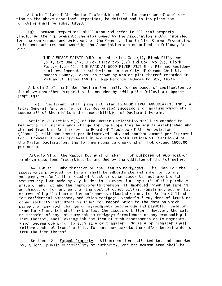Article I (g) of the Master Declaration shall, for purposes of application to the above described Properties, be deleted and in its place the following shall be substituted:

(9) "Common Properties" shall mean and refer to all real property (including the improvements thereto) owned by the Association and/or intended for the common use and enjoyment of the Owners. The initial Common Properties to be unencumbered and owned by the Association are described as follows, towit:

> THE SURFACE ESTATE ONLY in and to Lot One (1), Block Fifty-one (51), Lot aile (1), Block Fifty-two (52) and lot Two (2), Block Forty-five (45), THE PARK AT WOOD RIVER UNIT 8, a Planned Residential Development, a Subdivision in the City of Corpus Christi, Nueces County, Texas, as shown by map or plat thereof recorded in Volume 51, Pages 166-167, Hap Records, Nueces County, Texas.

Article I of the Master Declaration shall, for purposes of application to the above described Properties, be amended by adding the following subparagraph (q):

(q) "Declarant" shall mean and refer to WOOD RIVER ASSOCIATES, INC., a Texas General Partnership, or its designated successors or assigns which shall assume all of the rights and responsibilities of Declarant herein.

Article VI Section 2(a) of the Haster Declaration shall be amended to reflect a full maintenance charge for the Properties herein as established and changed from time to time by the Board of Trustees of the Association ("Board"), with one amount per Unimproved Lot, and another amount per Improved Lot. However, unless increased in accordance with Article VI, Section 4 of the Master Declaration, the full maintenance charge shall not exceed \$500.00 per annum.

Article VI .of the Master Declaration shall, for purposes of application to above described Properties, be amended by the addition of the following:

Section 11. Subordination of the Lien to Mortgages. The lien for the assessments provided for herein shall be subordinate and inferior to any mortgage, vendor's lien, deed of trust or other security instrument which secures any loan made by any lender to an Owner for any part of the purchase price of any lot and the improvements thereon, if improved, when the same is purchased, or for any part of the cost of constructing, repairing, adding to, or remodeling the Home and appurtenances situated on any Lot to be utilized for residential purposes, and which mortgage, vendor's lien, deed of trust or other security instrument is filed for record prior to the date on which<br>payment of any such charges or assessments become due and payable. Sale or payment of any such charges or assessments become due and payable. transfer of any Lot shall not affect the assessment lien. However, the sale or transfel' of any Lot pursuant to mortgage foreclosure or any proceeding in lieu thereof, shall extinguish the lien of such assessments as to payments which became due prior to such sale or transfer. No sale or transfer shall relieve such Lot from liability for any assessments thereafter becoming due or from the lien thereof.

Section 12. Exempt Property. All properties dedicated to, and accepted by, a local public municipality or authority, and the Common Area shall be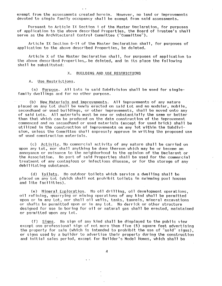exempt. from the assessments created herein. However, no land or improvements devoted to single family occupancy shall be exempt from said assessments.

Pursuant to Article IX Section 1 of the Haster Declaration, for purposes of application to the above described Properties, the Board of Trustee's shall serve as the Architectural Control Committee ("Committee").

Article IX Section 6-11 of the Master Declaration shall, for purposes of application to the above described Properties, be deleted.

Article X of the Master Declaration shall, for purposes of application to the above described Properties,. be deleted, and in its place the following shall be substituted:

### BUILDING AND USE RESTRICTIONS  $X$ .

 $A<sub>1</sub>$ Use Restrictions.

(a) Purpose. All Lots in said Subdivision shall be used for singlefamily dwellings and for no other purpose.

(b) New Materials and Improvements. All improvements of any nature placed on any Lot shall be newly erected on said Lot and no modular, mobile, secondhand or used buildings, or other improvements, shall be moved onto any of said Lots. **All** materials must be new or substantially the same or better than that which can be produced on the date construction of the improvement commenced and no secondhand or used materials (except for used brick) shall be utilized in the construction of improvements on any lot within the Subdivision, unless the Committee shall expressly approve in writing the proposed use of used construction materials.

(c)  $\Delta$  Activity. No commercial activity of any nature shall be carried on upon any Lot, nor shall anything be done thereon which may be or become an annoyance or nuisance to the neighborhood in the opinion of the Declarant or the Association. Ho part of said Properties shall be used for the commercial treatment of any contagious or infectious disease, or for the storage of any debilitating substance.

(d) Toilets. No outdoor toilets which service a dwelling shall be placed on any Lot (vlhich sha1l not prohibit toilets in swimming pool houses and like facilities).

(e) Mineral Exploration. No oil drilling, oil development operations, oil refining, quarrying or mining operations of any kind shall be permitted upon or in any Lot, nor shall oil wells, tanks, tunnels, mineral excavations or shafts be permitted upon or in any Lot. No derrick or other structure designed for use in boring for oil or natural gas shall be erected, maintained or permitted upon any Lot.

(f)  $Sigma$ . No sign of any kind shall be displayed to the public view except one professional sign of not more than five (5) square feet advertising the property for sale (which is intended to prohibit the use of "sold" signs), or signs used by a builder to advertise their property during the construction and initial sales period, except for Builder's Model Homes, which shall be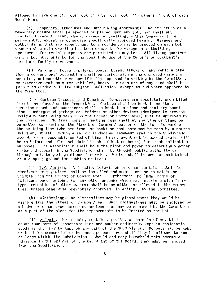allowed to have one (1) four foot (4') by four foot (4') sign in front of each Model Hame.

Temporary Structures and Outbuilding Apartments. No structure of a  $(q)$ temporary nature shall be erected or placed upon any Lot, nor shall any trailer, basement, tent, shack, garage or dwelling, either temporarily or permanently, except as otherwise specifically approved herein. Garages and outbuildings that are appurtenant to a residence may be erected on each Lot upon which a main dwelling has been erected. No garage or outbuilding apartments for rental purposes are permitted on any Lot. All living quarters on any lot must only be for the bona fide use of the Owner's or occupant's immediate family or servants,

Parking. House trailers, boats, buses, trucks or any vehicle other  $(h)$ than a conventional automobile shall be parked within the enclosed garage of such Lot, unless otherwise specifically approved in writing by the Committee. No extensive work on motor vehicles, boats, or machines of any kind shall be permitted outdoors in the subject Subdivision, except as and where approved by the Committee.

Garbage Disposal and Dumping. Dumpsters are absolutely prohibited  $(i)$ from being placed on the Properties. Garbage shall be kept in sanitary containers and such containers shall be kept in a clean and sanitary condition. Underground garbage can holders or other devices (designed to prevent unsightly cans being seen from the Street or Common Area) must be approved by the Committee. No trash cans or garbage cans shall at any time or times be permitted to remain on the Street or Common Area, or on the Lots forward of the building line (whether front or back) so that same may be seen by a person using any Street, Common Area, or landscaped easement area in the Subdivision, except for a reasonable period of time (in any event not to exceed twelve (12) hours before and after scheduled trash collection hours) for trash collection purposes. The Association shall have the right and power to determine whether garbage disposal in the Subdivision shall be through public authority or through private garbage disposal service. No Lot shall be used or maintained as a dumping ground for rubbish or trash.

(j) I.V. Aerials. All radio, television or other aerials, satellite receivers or guy wires shall be installed and maintained so as not to be visible from the Street or Common Area. Furthermore, no "ham" radio or "citizens band" antenna (or any other antenna which may interfere with "airtype" reception of other Owners) shall be permitted or allowed in the Properties, unless otherwise previously approved, in writing, by the Committee.

(k) Clothesline. No clotheslines may be placed where they would be visible from the Street or Common Area. Such clotheslines must be enclosed by a hedge or other type screening enclosure as may be approved by the Committee as a part of the plans for the improvements to be located on the Lot.

Animals. No insects, reptiles, poultry or animals of any kind,  $(1)$ other than pets of reasonable kind and number ordinarily kept in residential subdivisions, may be kept on any part of the Subdivision. No pets may be kept or bred for commercial or business purposes nor shall they be allowed to run at large within the Subdivision. Should ordinary household pets become a nuisance in the opinion of the Declarant or the Board, they must be removed from the Subdivision.

 $\overline{5}$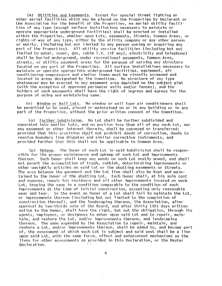(m) Utilities and Easements. Except for special Street lighting or other aerial facilities which may be placed on the Properties by Declarant or the Association for the benefit of the Properties, no aerial utility facilities of any type (except surface installations necessary to maintain or operate appropriate underground facilities) shall be erected or installed within the Properties, whether upon lots, easements, streets, Common Areas, or rights-of--way of any type, either by the utility company or any other person or entity, (including but not limited to any person owning or acquiring any part of the Properties). All utility service facilities (including but not limited to water, sewer, gas, cable T.V. (if any), electricity and telephone) shall be buried underground, under recreational easements, Common Area, streets, or utility easement areas for the purpose of serving any structure located on any part of the Properties. All surface installations necessary to maintain or operate appropriate underground facilities, equipment, air conditioning compressors and simllar items must be visually screened and located in areas designated by the Committee. No structure of any type whatsoever may be erected in any easement area depicted on the subject plat (with the exception of approved perimeter walls and/or fences), and the holders of such easements shall have the right of ingress and egress for the purpose of using and maintaining same.

(n) Window or Wall Lots. No window or wall type air conditioners shall be permitted to be used, placed or maintained on or in any building or in any part of the Properties, without the prior written consent of the Committee.

(o) Further Subdivision. No Lot shall be further subdivided and separated into smaller Lots, and no portion less than all of any such Lot, nor any easement or other interest therein, shall be conveyed or transferred; provided that this provision shall not prohibit deeds of correction, deeds to resolve boundary line disputes and similar corrective instruments, and provided further that this shall not be applicable to Common Area.

(p) Upkeep. The Owner of each Lot in said Subdivision shall be responsible for the proper maintenance and upkeep of such Lot and improvements thereon. Such Owner shall keep any weeds on such Lot neatly mowed, and shall not permit the accumulation of trash, rubbish, deteriorating improvements or other unsightly articles on said lot or the abutting easements or Streets. The area between the pavement and the Lot line shall also be kept and maintained by the Owner of the abutting Lot. Each Owner shall, at his sole cost and expense, repair his residence and all other improvements located on such lot, keeping the same in a condition comparable to the condition of such improvements at the time of initial construction, excepting only reasonable wear and tear. In the event an Owner of a lot shall fail to maintain the lot, or improvements thereon (including but not limited to the completion of construction thereof), and the landscaping thereon, the Association, after approval by two-thirds vote of the Board, and after thirty (30) days written notice to the Owner, shall have the right, but not the obligation, through its agents, employees, or designees to enter upon said lot and to repair, maintain, and restore the Lot, and/or improvements thereon, and landscaping thereon. The sums expended by the Association to repair, maintain, and restore a lot, and/or improvements thereon, shall be added to, and become part of, the assessment of which such lot is subject and said cost shall be a lien upon said Lot, with the same force, effect and enforcement mechanisms as the liens for other assessments as provided in this Declaration, or the Master Declaration.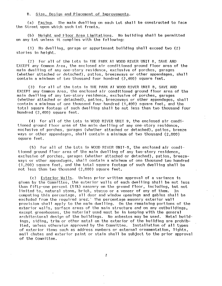# B. Size, Design and Placement of Improvements.

(a) Facing. The main dwelling on each Lot shall be constructed to face the Street upon which such Lot fronts.

(b) Height and Floor Area Limitations. No building shall be permitted on any Lot unless it complies with the following:

 $(1)$  No dwelling, garage or appurtenant building shall exceed two  $(2)$ stories in height.

(2) For all of the Lots in THE PARK AT WOOD RIVER UNIT 8, SAVE AND EXCEPT any Common Area, the enclosed air conditioned ground floor area of the main dwelling of any one-story residence, exclusive of porches, garages (whether attached or detached), patios, breezeways or other appendages, shall contain a minimum of two thousand four hundred  $(2,400)$  square feet.

(3) For all of the Lots in THE PARK AT WOOD RIVER UNIT 8, SAVE AND EXCEPT any Common Area, the enclosed air conditioned ground floor area of the main dwelling of any two-story residence, exclusive of porches, garages (whether attached or detached), patios, breezeways or other appendages, shall contain a minimum of one thousand four hundred  $(1,400)$  square feet, and the total square footage of such dwelling shall be not less than two thousand four hundred (2,400) square feet.

 $(4)$  For all of the Lots in WOOD RIVER UNIT 9, the enclosed air conditioned ground floor area of the main dwelling of anyone-story residence, exclusive of porches, garages (whether attached or detached), patios, breeze ways or other appendages, shall contain a minimum of two thousand (2,000) square feet.

 $(5)$  For all of the Lots in WOOD RIVER UNIT-9, the enclosed air conditioned ground floor area of the main dwelling of any two-story residence, exclusive of porches, garages (whether attached or detached), patios, breezeways or other appendages, shall contain a minimum of one thousand two hundred  $(1,200)$  square feet, and the total square footage of such dwelling shall be not less than two thousand  $(2,000)$  square feet.

(c) Exterior Walls. Unless prior written approval of a variance is given by the Committee, the exterior walls of each dwelling shall be not less than fifty--one percent (51%) masonry on the ground floor, including, but not limited to, natural stone, brick, stucco or a veneer of any of them. In computing this percentage, all door and window openings and gables shall be excluded from the required area. The percentage masonry exterior wall provision shall apply to the main dwelling. On the remaining portions of the exterior walls, surface areas of the main structure and on any outbuildings, except greenhouses, the material used must be in keeping with the general architectural design of the buildings. No asbestos may be used. Hetal buildings, siding, trim or other metal on the exterior of the building are prohibited, unless otherwise approved by the Committee. Installation of all types of exterior items such as address numbers or external ornamentation, lights, mail chutes and exterior paint or stain shall be subject to the prior approval of the Committee.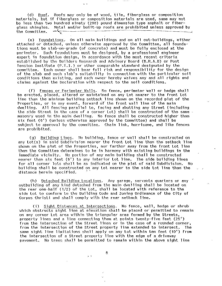(d) Roof. Roofs may only be of wood, tile, fiberglass or composition materials, but if fiberglass or composition materials are used, same may not be less than two hundred ninety (290) pound dimension type asphalt or fIberglass shingles. Metal and/or built-up roofs are prohibited unless approved by<br>the Committee.  $\begin{array}{ccc} -4\end{array}$ 

(e) Foundations. On all main buildings and on all out-buildings, either attached or detached, unless otherwise approved by the Committee, all foundations must be slab'-on-grade (of concrete) and must be fully enclosed at the Such foundations must be designed, by a professional engineer expert in foundation design, in accordance with the most recent criteria established by the Builders Research and Advisory Board (B.R.A.B) or Post Tension Institute (P.T.1.) or other comparable standard designated by the<br>committee. Each owner shall bear full risk and responsibility for the de Each owner shall bear full risk and responsibility for the design of the slab and such slab's suitability in connection with the particular soil conditions then existing, and each ownet' hereby waives any and all rights and claims against the Declaration with respect to the soil conditions.

(f) Fences or Perimeter Walls. No fence, perimeter wall or hedge shall be erected, placed, altered or maintained on any Lot nearer to the front Lot line than the minimum building setback line shown on the recorded plat of the Properties, or in any event, forward of the front wall line of the main dwelling. All fencing parallel to, facing and abutting any Street (including the side street in the case of a corner Lot) shall be constructed of the same masonry used in the main dwelling. No fence shall be constructed higher than six feet (6') (unless otherwise approved by the Committee) and shall be subject to approval by the committee. Chain link, hurricane, and like fences are prohibited.

(g) Building Lines. No building, fence or wall shall be constructed on any Lot(s) in said Subdivision nearer the front Lot line than the setback line shown on the plat of the Properties, nor farther away from the front Lot line than the Committee determines to be in harmony with existing buildings in the immediate vicinity. Ho portion of any main building shall be constructed nearer than six feet (6') to any interior Lot line. The side building lines for all corner lots shall be as indicated on the plat of said Subdivision. No building shall be constructed on any Lot nearer to the side Lot line than the distance herein specified.

(h) Detached Building Locations. Any garage, servants quarters or any outbuilding of any kind detached from the main dwelling shall be located on the rear one-half  $(1/2)$  of the Lot, shall be located with reference to the side Lot to conform to the Building Code and Zoning Ordinance of the City of Corpus Christi and shall comply with the rear setback line.

(i) Sight Distances at Intersections. No fence, wall, hedge or shrub which obstructs sight line at elevation shall be placed or permitted to remain on any corner Lot area within the triangular area formed by the Streets, , property lines and a line connecting them at points twenty-five feet (25') from the intersection of the street lines or in the case of a rounded corner, from the intersection of the Street property line extended to intersect. The same sight line limitations shall apply on any Lot within ten feet (10') from the intersection of a Street property line with the edge of a driveway pavement. No trees shall be permitted to remain within the above sight line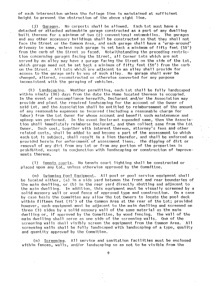of each intersection unless the foliage line Is maintained at sUfficient height to prevent the obstruction of the above sight line.

(j) Garages. No carports shall be allowed. Each Lot must have a detached or attached automobile garage constructed as a part of any dwelling built thereon for a minimum of two (2) conventional automobiles. and any other accessory buildings shall be constructed so that they shall not face the Street or the Common Area, and each garage shall have a "wrap-around" driveway to same, unless such garage is set back a minimum of fifty feet  $(50')$ from the curb of the Street so faced. Notwithstanding the preceding restriction concerning garages facing the Street, all Corner Lots which are not served by an alley may have a garage facing the street on the side of the lot, which garage need not be set back a minimum of fifty feet (50') from the curb<br>on the Street. All Lots which are adjacent to an alley shall provide for A11 Lots which are adjacent to an alley shall provide for access to the garage only by way of such alley. No garage shall ever be changed, altered, reconstructed or otherwise converted for any purpose inconsistent with the garaging of vehicles.

(k) Landscaping. Weather permitting, each Lot shall be fully landscaped within ninety (90) days from the date the Home located thereon is occupied. In the event of noncompliance herewith, Declarant and/or the Association may provide and plant the required landscaping for the account of the Owner of said Lot, and the Association shall be entitled to reimbursement of the amount of any reasonable expenses so incurred (including a reasonable charge for labor) from the Lot Owner for whose account and benefit such maintenance and upkeep was performed. In the event Declarant expended same, then the Association shall immediately reimburse Declarant, and then collect same from the Lot Owner. Such cost, together with interest thereon, attorney's fees and other related costs, shall be added to and become a part of the assessment to which each Lot is subject, shall result in a lien therefor, and sha11 be enforced as provided herein for enforcemerit' of assessment liens. The digging of dirt or removal of any dirt from any Lot or from any portion of the properties is prohibited, except in conjunction with landscaping or construction of improvements thereon.

(1) Tennis courts. No tennis court lighting shall be constructed or placed upen any lot, unless otherwise approved by the Committee.

(m) Swimming Fool Equipment. All pool or pool service equipment shall be located either, (a) in a side yard between the front and rear boundaries of the main dwelling, or (b) in the rear yard directly abutting and adjacent to the main dwelling. In addition, this equipment must be visually screened by a<br>solid masonry wall or wood fence of approved type and construction. On a case solid masonry wall or wood fence of approved type and construction. by case basis tire Committee may allow the Lot Owners to locate the pool deck within fifteen feet (15') of the Common Area at the rear of the Lot; provided however, such equipment must be adjacent to the main dwelling and screened on three (3) sides by a solid masonry wall of the same material as the main dwelling or, if approved by the Committee, by wood fencing. The wall of the main dwelling shall serve as one side of the screening walls. One of the screening walls shall visibly screen the equipment from the Common Area. All screening walls shall be fully landscaped with landscaping of a type, quality and quant ity approved by the Committee.

(n) Screening. All service and sanitation facilities must be enclosed within fences, walls, and/or landscaping so as not to be visible from the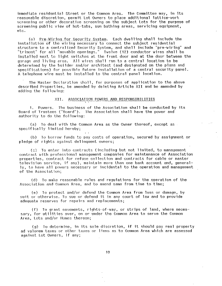immediate residential Street or the Common Area. The Committee may, in its reasonable discretion, permit Lot Owners to place additional lattice-work screening or other decorative screening on the subject lots for the purpose of screening public view of hot-tubs, sun bathing areas, servicing equipment, etc.

(o) Pre-Wiring for Security System. Each dwelling shall include the installation of the wiring necessary to connect the subject residential structure to a centralized Security System, and shall include "pre-wiring" and "trimout" for all "movable openings." Twelve (12) conductor wires shall be installed next to light switches at the front door and at the door between the garage and living area. All wires shall run to a central location to be determined by the builder and/or architect (and designated on the plans and specifications) for possible future Installation of a central security panel. A telephone wire must be Installed to the central panel location.

The Master Declaration shall, for purposes of application to the above described Properties, be amended by deleting Article XII and be amended by adding the following:

### ASSOCIATION POWERS AND RESPONSIBILITIES XII.

1. Powers. The business of the Association shall be conducted by its Board of Trustees ("Board"). The Association shall have the power and authority to do the following:

(a) To deal with the Common Area as the Owner thereof, except as  $\overline{\phantom{a}}$ specifically limited hereby;

(b) To borrow funds to pay costs of operation, secured by assignment or pledge of rights against delinquent owners;

(s) To enter into contracts (including but not limited, to management contract with professional management companies for maintenance of Association properties, contract for refuse collection and contracts for cable or master television service, if any), maintain more than one bank account and, generally, to have all powers necessary or incidental to the operation and management of the Association;

(d) To make reasonable rules and regulations for the operation of the Association and Common Area, and to amend same from time to time;

(e) To protect and/or defend the Common Area from loss or damage, by suit or otherwise. To sue or defend it in any court of law and to provide adequate reserves for repairs and replacements;

(f) To grant easements, rights-of-way, or strips of land, where necessary, for utilities over, on or under the Common Area to serve the Common Area, Lots and/or Homes thereon;

 $(g)$  To determine, in its sole discretion, if it should pay real property ad valorem taxes or other taxes or liens as to Common Area which are assessed against Lot Owners, if any;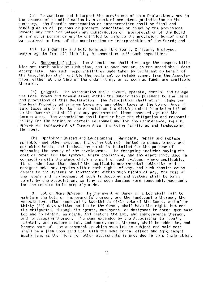To construe and interpret the provisions of this Declaration, and in  $(h)$ the absence of an adjudication by a court of competent jurisdiction to the contrary, the Board's construction or interpretation shall be final and binding as to all persons or property benefitted or bound by the provisions hereof; any conflict between any construction or interpretation of the Board or any other person or entity entitled to enforce the provisions hereof shall be resolved in favor of the construction or interpretation of the Board; and

(i) To indemnify and hold harmless it's Board, Officers, Employees and/or Agents from all liability in connection with such capacities.

Responsibilities. The Association shall discharge the responsibili- $2.$ ties set forth below at such time, and in such manner, as the Board shall deem appropriate. Any such responsibilities undertaken by Declarant on behalf of the Association shall entitle the Declarant to reimbursement from the Association, either at the time of the undertaking, or as soon as funds are available therefor.

(a) General. The Association shall govern, operate, control and manage the Lots, Homes and Common Areas within the Subdivision pursuant to the terms and provisions of this Declaration. The Association shall at all times pay the Real Property ad valorem taxes and any other taxes on the Common Area if said taxes are billed to the Association (as distinguished from being billed to the Owners) and shall pay any governmental liens assessed against the The Association shall further have the obligation and responsi-Common Area. bility for the hiring of certain personnel and for the maintenance, repair, upkeep and replacement of Common Area (including facilities and landscaping thereon).

Sprinkler System and Landscaping. Maintain, repair and replace  $(b)$ sprinkler and other systems, including but not limited to pumps, pipes, and sprinkler heads, and landscaping which is installed for the purpose of enhancing the beauty of the development. The foregoing includes paying the cost of water for the systems, where applicable, and the electricity used in connection with the pumps which are part of such systems, where applicable. It is understood that should the applicable governmental authority or its designee make any repairs within such rights-of-way, and such repairs cause damage to the systems or landscaping within such rights-of-way, the cost of the repair and replacement of such landscaping and systems shall be borne solely by the Association, so long as such damages were reasonably necessary for the repairs to be properly made.

Lot or Home Upkeep. In the event an Owner of a Lot shall fail to  $3.$ maintain the Lot, or improvements thereon, and the landscaping thereon, the Association, after approval by two-thirds (2/3) vote of the Board, and after thirty (30) days written notice to the Owner, shall have the right, but not the obligation, through its agents, employees, or designees to enter upon said Lot and to repair, maintain, and restore the Lot, and improvements thereon, and landscaping thereon. The sums expended by the Association to repair. maintain, and restore a Lot, and improvements thereon, shall be added to, and become part of, the assessment to which such Lot is subject and said cost shall be a lien upon said Lot, with the same force, effect and enforcement mechanisms as the liens for other assessments as provided in this Declaration.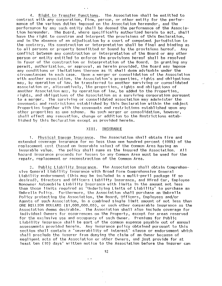4. Right to Transfer Functions. The Association shall be entitled to contract with any corporation, firm, person, or other entity for the performance of the various duties imposed on the Association hereunder, and the performance by any such entity shall be deemed the performance of the Association hereunder. The Board, where specifically authorized herein to act, shall have the right to construe and Interpret the provisions of this Declaration, and in the absence of an adjudication by a court of competent jurisdiction to the contrary, its construction or interpretation shall be final and binding as to all persons or property benefitted or bound by the provisions hereof. Any conflict between any construction or interpretation of the Board or any other person or entity entitled to enforce the provisions hereof shall be resolved<br>in favor of the construction or interpretation of the Board. In granting any in favor of the construction or interpretation of the Board. permit, authorization, or approval, as herein provided, the Board may impose any conditions or limitations thereon as it shall deem advisable under the **cit-cumstances in each case. Upon a merger or consolidation of the Association**  with another association, the Association's properties, rights and obligations may, by operation of law, be transferred to another surviving or consolidated association or, alternatively, the properties, rights and obligations of another Association may, by operation of law, be added to the Properties, rights, and obligations of the Association as a surviving corporation pursuant to a merger. The surviving or consolidated association may administer the covenants and restrictions established by this Declaration within the subject Properties together with the covenants and restrictions established upon any other properties as one scheme. No such merger or consolidation, however, shall effect any renovation, change or addition to the Restrictions established by this Declaration except as provided herein.

### XIII. INSURANCE

1. Physical Damage Insurance. The Association shall obtain fire and extended coverage insurance for no less than one hundred percent (100%) of the replacement cost (based on insurable value) of the Common Area having an insurable value. The policy shall name as the insured the Association. All 113zard insurance Pl'oceeds for losses to any COMnon Area must be used for the repair, replacement or reconstruction of the Common Area.

2. Public Liability Insurance. The Association shall obtain Comprehensive General Liability Insurance with Broad Form Comprehensive General Liability endorsement (this may be included in a multi-peril package if so desired), Directors and Officers Liability Insurance, and Hired Car, Employee Nonowner Automobile Liability Insurance with limits in the amount not less than those limits required as "Underlying Limits of Liability" to purchase an Umbrella Policy. Furthermore, the Association shall purchase an Umbrella Policy protecting the Association, the Board, Officers, Employees and/or Agents of sucll Association, in a combined single limit amount of not less than ONE MILLION DOLLARS (\$1,000,000.00), or such other comparable insurance as the Association deems desirable. The Association shall also include coverage for individual Owners for occurrences on the Property, except for areas reserved for the exclusive use and occupancy of such Owner. Premiums for Public Liability insurance shall be part of the common expense payable out of annual assessments provided herein. Any insurance policy obtained pursuant to this section shall contain a "severability of interest" clause or endorsement which shall preclude the insurer from denying the claim of an Owner because of negligent acts of the Association or other Olmers, and just proVide for at least ten (10) days' written notice to the Association before the insurer can

12

 $\sim$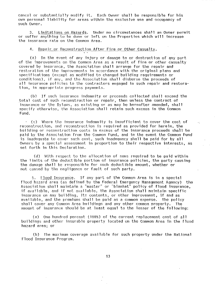cancel or substantially modify it. Each Owner shall be responsible for his own personal liability for areas within the exclusive use and occupancy of such Owner.

Limitations on Hazards. Under no circumstances shall an Owner permit  $3.$ or suffer anything to be done or left on the Properties which will increase the insurance rate on the Common Area.

# Repair or Reconstruction After Fire or Other Casualty.  $4.$

(a) In the event of any injury or damage to or destruction of any part of the improvements on the Common Area as a result of fire or other casualty covered by insurance, the Association shall arrange for the repair and restoration of the improvements in accordance with the original plans and specifications (except as modified to changed building requirements or conditions), if any, and the Association shall disburse the proceeds of all insurance policies to the contractors engaged in such repair and restoration, in appropriate progress payments.

 $(b)$ If such insurance indemnity or proceeds collected shall exceed the total cost of such reconstruction or repair, then unless the contract of insurance or the Bylaws, as existing or as may be hereafter amended, shall specify otherwise, the Association shall retain such excess in the Common Fund.

 $\pm$  (c) Where the insurance indemnity is insufficient to cover the cost of reconstruction, and reconstruction is required as provided for herein, the building or reconstruction costs in excess of the insurance proceeds shall be paid by the Association from the Common Fund, and in the event the Common Fund is inadequate to cover such cost, such inadequacy shall be paid for by all Owners by a special assessment in proportion to their respective interests, as set forth in this Declaration.

 $\sim$   $\pm$ 

(d) With respect to the allocation of sums required to be paid within the limits of the deductible portion of insurance policies, the party causing the damage shall be responsible for such deductible amount, whether or not caused by the negligence or fault of such party.

Flood Insurance. If any part of the Common Area is in a special 5. floed hazard area (as defined by the Federal Emergency Management Agency) the Association shall maintain a "master" or "blanket" policy of flood insurance, if available, and if not available, the Association shall maintain specific insurance on any building, its contents, or other improvement, if and as available, and the premiums shall be paid as a common expense. The policy shall cover any Common Area buildings and any other common property. The amount of insurance should be at least equal to the lesser of the following:

One hundred percent (100%) of the current replacement cost of all (a) buildings and other insurable property located on the Common Area in the flood hazard area; or

(b) The maximum coverage available for such property under the National Flood Insurance Program.

 $\sim$   $\sim$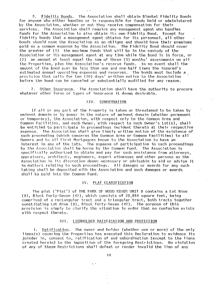Fidelity Bonds. The Association shall obtain Blanket Fidelity Bonds  $5$ for anyone who either handles or is responsible for funds held or administered by the Association, whether or not they receive compensation for their services. The Association shall require any management agent who handles funds for the Association to also obtain its own Fidelity Bond. Except for fidelity bonds that a management agent obtains for its personnel, all other bonds should name the Association as an obligee and should have their premiums paid as a common expense by the Association. The Fidelity Bond should cover the greater of (1) the maximum funds that will be in the custody of the Association or its management agent at any time while the bond is in force, or an amount at least equal the sum of three (3) months' assessments on all  $(2)$ the Properties, plus the Association's reserve funds. In no event shall the amount of the bond ever be less than one and one-half times the insured's estimated annual operating expenses and reserves. The bonds must include a provision that calls for ten (10) days' written notice to the Association before the bond can be canceled or substantially modified for any reason.

 $7.$ Other Insurance. The Association shall have the authority to procure whatever other forms or types of insurance it deems desirable.

# XIV. CONDEMNATION

If all or any part of the Property is taken or threatened to be taken by eminent domain or by power in the nature of eminent domain (whether permanent or temporary), the Association, with respect only to the Common Area and Common Facilities, and each Owner, with respect to such Owner's  $\textsf{tot}(\mathbf{s})$ , shall be entitled to participate in proceedings incident thereto at their respective expense. The Association shall give timely written notice of the existence of such proceeding (which concerns the Common Area or Common Facilities) to all Owners and to all First Mortgagees known to the Association to have an interest in any of the Lots. The expense of participation in such proceedings by the Association shall be borne by the Common Fund. The Association is specifically authorized to obtain and pay for such assistance from attorneys, appraisers, architects, engineers, expert witnesses and other persons as the Association in its discretion deems necessary or advisable to aid or advise it in matters relating to such proceedings. All damages or awards for any such taking shall be deposited with the Association and such damages or awards shall be paid into the Common Fund.

# XV. PLAT CLARIFICATION

The plat ("Plat") of THE PARK OF WOOD RIVER UNIT 8 contains a Lot Nine (9), Block Forty-Seven (47), which consists of 20,884 square feet, being comprised of a rectangular tract and a triangular tract, both tracts together constituting Lot Nine (9), Block Forty-Seven (47). The purpose of this provision is simply to clarify the situation in order that no confusion exists with respect thereto.

### LIENHOLDER RATIFICATION AND PROTECTION XVI.

Ratification. The owner and holder (whether one or more) of the only  $1.$ liens(s) covering the Properties has executed this Declaration to evidence its joinder in, consent to, ratification of and subordination (except to the liens created herein) to the imposition of the foregoing Restrictions. No violation of any of these Restrictions shall defeat or render invalid the lien of any

 $\ddot{\phantom{a}}$